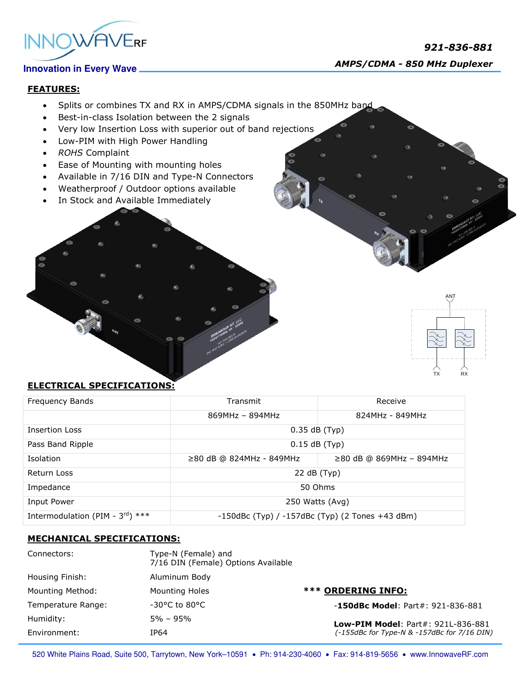



## **FEATURES:**

- Splits or combines TX and RX in AMPS/CDMA signals in the 850MHz band
- Best-in-class Isolation between the 2 signals
- Very low Insertion Loss with superior out of band rejections
- Low-PIM with High Power Handling
- *ROHS* Complaint
- Ease of Mounting with mounting holes
- Available in 7/16 DIN and Type-N Connectors
- Weatherproof / Outdoor options available
- In Stock and Available Immediately



# **ELECTRICAL SPECIFICATIONS:**

| Frequency Bands                              | Transmit                                                | Receive                    |
|----------------------------------------------|---------------------------------------------------------|----------------------------|
|                                              | 869MHz - 894MHz                                         | 824MHz - 849MHz            |
| <b>Insertion Loss</b>                        | $0.35$ dB (Typ)                                         |                            |
| Pass Band Ripple                             | $0.15$ dB (Typ)                                         |                            |
| Isolation                                    | $≥80$ dB @ 824MHz - 849MHz                              | $≥80$ dB @ 869MHz - 894MHz |
| Return Loss                                  | 22 dB (Typ)                                             |                            |
| Impedance                                    | 50 Ohms                                                 |                            |
| Input Power                                  | 250 Watts (Avg)                                         |                            |
| Intermodulation (PIM - $3^{\text{rd}}$ ) *** | $-150$ dBc (Typ) / $-157$ dBc (Typ) (2 Tones $+43$ dBm) |                            |

### **MECHANICAL SPECIFICATIONS:**

| Connectors:        | Type-N (Female) and<br>7/16 DIN (Female) Options Available |                                                                                          |
|--------------------|------------------------------------------------------------|------------------------------------------------------------------------------------------|
| Housing Finish:    | Aluminum Body                                              |                                                                                          |
| Mounting Method:   | <b>Mounting Holes</b>                                      | <b>*** ORDERING INFO:</b>                                                                |
| Temperature Range: | $-30^{\circ}$ C to 80°C                                    | $-150$ dBc Model: Part#: 921-836-881                                                     |
| Humidity:          | $5\% - 95\%$                                               | <b>Low-PIM Model: Part#: 921L-836-881</b><br>(-155dBc for Type-N & -157dBc for 7/16 DIN) |
| Environment:       | IP64                                                       |                                                                                          |

520 White Plains Road, Suite 500, Tarrytown, New York-10591 . Ph: 914-230-4060 . Fax: 914-819-5656 . www.InnowaveRF.com